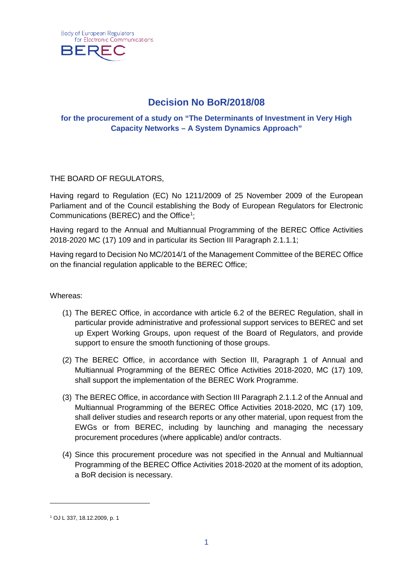

# **Decision No BoR/2018/08**

## **for the procurement of a study on "The Determinants of Investment in Very High Capacity Networks – A System Dynamics Approach"**

## THE BOARD OF REGULATORS,

Having regard to Regulation (EC) No 1211/2009 of 25 November 2009 of the European Parliament and of the Council establishing the Body of European Regulators for Electronic Communications (BEREC) and the Office<sup>[1](#page-0-0)</sup>;

Having regard to the Annual and Multiannual Programming of the BEREC Office Activities 2018-2020 MC (17) 109 and in particular its Section III Paragraph 2.1.1.1;

Having regard to Decision No MC/2014/1 of the Management Committee of the BEREC Office on the financial regulation applicable to the BEREC Office;

#### Whereas:

- (1) The BEREC Office, in accordance with article 6.2 of the BEREC Regulation, shall in particular provide administrative and professional support services to BEREC and set up Expert Working Groups, upon request of the Board of Regulators, and provide support to ensure the smooth functioning of those groups.
- (2) The BEREC Office, in accordance with Section III, Paragraph 1 of Annual and Multiannual Programming of the BEREC Office Activities 2018-2020, MC (17) 109, shall support the implementation of the BEREC Work Programme.
- (3) The BEREC Office, in accordance with Section III Paragraph 2.1.1.2 of the Annual and Multiannual Programming of the BEREC Office Activities 2018-2020, MC (17) 109, shall deliver studies and research reports or any other material, upon request from the EWGs or from BEREC, including by launching and managing the necessary procurement procedures (where applicable) and/or contracts.
- (4) Since this procurement procedure was not specified in the Annual and Multiannual Programming of the BEREC Office Activities 2018-2020 at the moment of its adoption, a BoR decision is necessary.

-

<span id="page-0-0"></span><sup>1</sup> OJ L 337, 18.12.2009, p. 1